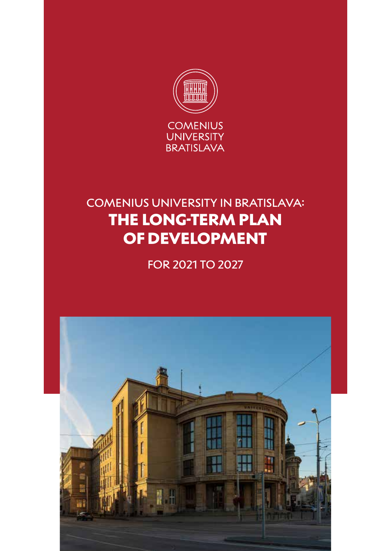

# COMENIUS UNIVERSITY IN BRATISLAVA: THE LONG-TERM PLAN OF DEVELOPMENT

FOR 2021 TO 2027

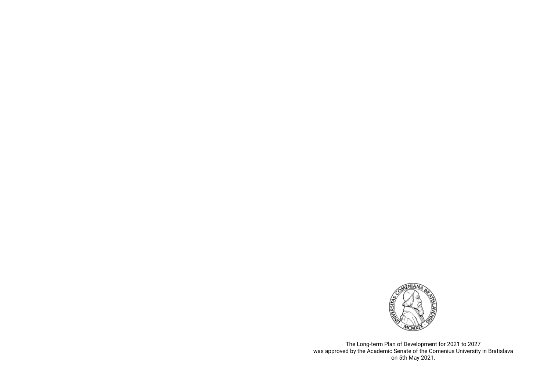

The Long-term Plan of Development for 2021 to 2027 was approved by the Academic Senate of the Comenius University in Bratislava on 5th May 2021.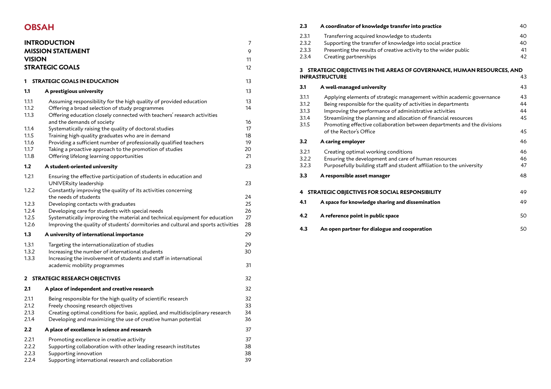# **OBSAH**

| <b>INTRODUCTION</b><br><b>MISSION STATEMENT</b><br><b>VISION</b><br><b>STRATEGIC GOALS</b> |                                                                                                                                                                                                 |                |  |  |
|--------------------------------------------------------------------------------------------|-------------------------------------------------------------------------------------------------------------------------------------------------------------------------------------------------|----------------|--|--|
| 1.                                                                                         | <b>STRATEGIC GOALS IN EDUCATION</b>                                                                                                                                                             | 13             |  |  |
| 1.1                                                                                        | A prestigious university                                                                                                                                                                        | 13             |  |  |
| 1.1.1<br>1.1.2<br>1.1.3                                                                    | Assuming responsibility for the high quality of provided education<br>Offering a broad selection of study programmes<br>Offering education closely connected with teachers' research activities | 13<br>14<br>16 |  |  |
| 1.1.4                                                                                      | and the demands of society<br>Systematically raising the quality of doctoral studies                                                                                                            | 17             |  |  |
| 1.1.5                                                                                      | Training high-quality graduates who are in demand                                                                                                                                               | 18             |  |  |
| 1.1.6                                                                                      | Providing a sufficient number of professionally qualified teachers                                                                                                                              | 19             |  |  |
| 1.1.7                                                                                      | Taking a proactive approach to the promotion of studies                                                                                                                                         | 20             |  |  |
| 1.1.8                                                                                      | Offering lifelong learning opportunities                                                                                                                                                        | 21             |  |  |
| 1.2                                                                                        | A student-oriented university                                                                                                                                                                   | 23             |  |  |
| 1.2.1                                                                                      | Ensuring the effective participation of students in education and<br>UNIVERsity leadership                                                                                                      | 23             |  |  |
| 1.2.2                                                                                      | Constantly improving the quality of its activities concerning<br>the needs of students                                                                                                          | 24             |  |  |
| 1.2.3                                                                                      | Developing contacts with graduates                                                                                                                                                              | 25             |  |  |
| 1.2.4                                                                                      | Developing care for students with special needs                                                                                                                                                 | 26             |  |  |
| 1.2.5                                                                                      | Systematically improving the material and technical equipment for education                                                                                                                     | 27             |  |  |
| 1.2.6                                                                                      | Improving the quality of students' dormitories and cultural and sports activities                                                                                                               | 28             |  |  |
| 1.3                                                                                        | A university of international importance                                                                                                                                                        | 29             |  |  |
| 1.3.1                                                                                      | Targeting the internationalization of studies                                                                                                                                                   | 29             |  |  |
| 1.3.2                                                                                      | Increasing the number of international students                                                                                                                                                 | 30             |  |  |
| 1.3.3                                                                                      | Increasing the involvement of students and staff in international                                                                                                                               |                |  |  |
|                                                                                            | academic mobility programmes                                                                                                                                                                    | 31             |  |  |
| <b>STRATEGIC RESEARCH OBJECTIVES</b><br>32<br>$\mathbf{2}$                                 |                                                                                                                                                                                                 |                |  |  |
| 2.1                                                                                        | A place of independent and creative research                                                                                                                                                    | 32             |  |  |
| 2.1.1                                                                                      | Being responsible for the high quality of scientific research                                                                                                                                   | 32             |  |  |
| 2.1.2                                                                                      | Freely choosing research objectives                                                                                                                                                             | 33             |  |  |
| 2.1.3                                                                                      | Creating optimal conditions for basic, applied, and multidisciplinary research                                                                                                                  | 34             |  |  |
| 2.1.4                                                                                      | Developing and maximizing the use of creative human potential                                                                                                                                   | 36             |  |  |
| 2.2                                                                                        | A place of excellence in science and research                                                                                                                                                   | 37             |  |  |
| 2.2.1                                                                                      | Promoting excellence in creative activity                                                                                                                                                       | 37             |  |  |
| 2.2.2                                                                                      | Supporting collaboration with other leading research institutes                                                                                                                                 | 38             |  |  |
| 2.2.3                                                                                      | Supporting innovation                                                                                                                                                                           | 38             |  |  |
| 2.2.4                                                                                      | Supporting international research and collaboration                                                                                                                                             | 39             |  |  |

|                                                           | 2.3                                                                        | A coordinator of knowledge transfer into practice                                                                                                                                                                                                                                                                                                                        | 40                         |  |  |
|-----------------------------------------------------------|----------------------------------------------------------------------------|--------------------------------------------------------------------------------------------------------------------------------------------------------------------------------------------------------------------------------------------------------------------------------------------------------------------------------------------------------------------------|----------------------------|--|--|
|                                                           | 2.3.1<br>2.3.2<br>2.3.3<br>2.3.4                                           | Transferring acquired knowledge to students<br>Supporting the transfer of knowledge into social practice<br>Presenting the results of creative activity to the wider public<br>Creating partnerships                                                                                                                                                                     | 40<br>40<br>41<br>42       |  |  |
|                                                           | STRATEGIC OBJECTIVES IN THE AREAS OF GOVERNANCE, HUMAN RESOURCES, AND<br>3 |                                                                                                                                                                                                                                                                                                                                                                          |                            |  |  |
|                                                           |                                                                            | <b>INFRASTRUCTURE</b>                                                                                                                                                                                                                                                                                                                                                    | 43                         |  |  |
|                                                           | 3.1                                                                        | A well-managed university                                                                                                                                                                                                                                                                                                                                                | 43                         |  |  |
|                                                           | 3.1.1<br>3.1.2<br>3.1.3<br>3.1.4<br>3.1.5                                  | Applying elements of strategic management within academic governance<br>Being responsible for the quality of activities in departments<br>Improving the performance of administrative activities<br>Streamlining the planning and allocation of financial resources<br>Promoting effective collaboration between departments and the divisions<br>of the Rector's Office | 43<br>44<br>44<br>45<br>45 |  |  |
|                                                           | 3.2                                                                        | A caring employer                                                                                                                                                                                                                                                                                                                                                        | 46                         |  |  |
|                                                           | 3.2.1<br>3.2.2<br>3.2.3<br>3.3                                             | Creating optimal working conditions<br>Ensuring the development and care of human resources<br>Purposefully building staff and student affiliation to the university<br>A responsible asset manager                                                                                                                                                                      | 46<br>46<br>47<br>48       |  |  |
|                                                           |                                                                            |                                                                                                                                                                                                                                                                                                                                                                          |                            |  |  |
| STRATEGIC OBJECTIVES FOR SOCIAL RESPONSIBILITY<br>49<br>4 |                                                                            |                                                                                                                                                                                                                                                                                                                                                                          |                            |  |  |
|                                                           | 4.1                                                                        | A space for knowledge sharing and dissemination                                                                                                                                                                                                                                                                                                                          | 49                         |  |  |
|                                                           | 4.2                                                                        | A reference point in public space                                                                                                                                                                                                                                                                                                                                        | 50                         |  |  |
|                                                           | 4.3                                                                        | An open partner for dialogue and cooperation                                                                                                                                                                                                                                                                                                                             | 50                         |  |  |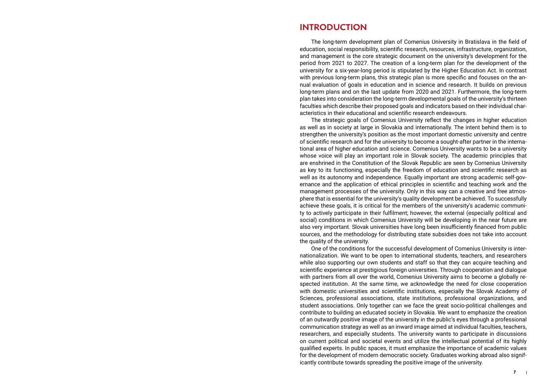# **INTRODUCTION**

The long-term development plan of Comenius University in Bratislava in the field of education, social responsibility, scientific research, resources, infrastructure, organization, and management is the core strategic document on the university's development for the period from 2021 to 2027. The creation of a long-term plan for the development of the university for a six-year-long period is stipulated by the Higher Education Act. In contrast with previous long-term plans, this strategic plan is more specific and focuses on the annual evaluation of goals in education and in science and research. It builds on previous long-term plans and on the last update from 2020 and 2021. Furthermore, the long-term plan takes into consideration the long-term developmental goals of the university's thirteen faculties which describe their proposed goals and indicators based on their individual characteristics in their educational and scientific research endeavours.

The strategic goals of Comenius University reflect the changes in higher education as well as in society at large in Slovakia and internationally. The intent behind them is to strengthen the university's position as the most important domestic university and centre of scientific research and for the university to become a sought-after partner in the international area of higher education and science. Comenius University wants to be a university whose voice will play an important role in Slovak society. The academic principles that are enshrined in the Constitution of the Slovak Republic are seen by Comenius University as key to its functioning, especially the freedom of education and scientific research as well as its autonomy and independence. Equally important are strong academic self-governance and the application of ethical principles in scientific and teaching work and the management processes of the university. Only in this way can a creative and free atmosphere that is essential for the university's quality development be achieved. To successfully achieve these goals, it is critical for the members of the university's academic community to actively participate in their fulfilment; however, the external (especially political and social) conditions in which Comenius University will be developing in the near future are also very important. Slovak universities have long been insufficiently financed from public sources, and the methodology for distributing state subsidies does not take into account the quality of the university.

One of the conditions for the successful development of Comenius University is internationalization. We want to be open to international students, teachers, and researchers while also supporting our own students and staff so that they can acquire teaching and scientific experience at prestigious foreign universities. Through cooperation and dialogue with partners from all over the world, Comenius University aims to become a globally respected institution. At the same time, we acknowledge the need for close cooperation with domestic universities and scientific institutions, especially the Slovak Academy of Sciences, professional associations, state institutions, professional organizations, and student associations. Only together can we face the great socio-political challenges and contribute to building an educated society in Slovakia. We want to emphasize the creation of an outwardly positive image of the university in the public's eyes through a professional communication strategy as well as an inward image aimed at individual faculties, teachers, researchers, and especially students. The university wants to participate in discussions on current political and societal events and utilize the intellectual potential of its highly qualified experts. In public spaces, it must emphasize the importance of academic values for the development of modern democratic society. Graduates working abroad also significantly contribute towards spreading the positive image of the university.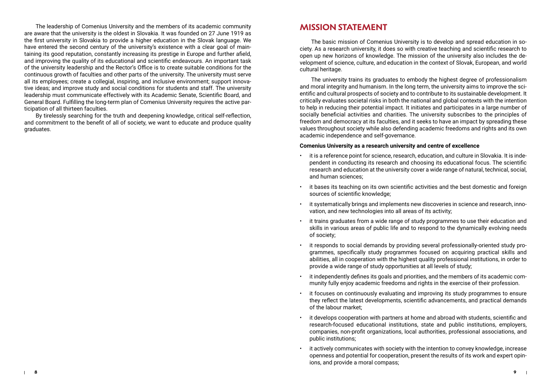The leadership of Comenius University and the members of its academic community are aware that the university is the oldest in Slovakia. It was founded on 27 June 1919 as the first university in Slovakia to provide a higher education in the Slovak language. We have entered the second century of the university's existence with a clear goal of maintaining its good reputation, constantly increasing its prestige in Europe and further afield, and improving the quality of its educational and scientific endeavours. An important task of the university leadership and the Rector's Office is to create suitable conditions for the continuous growth of faculties and other parts of the university. The university must serve all its employees; create a collegial, inspiring, and inclusive environment; support innovative ideas; and improve study and social conditions for students and staff. The university leadership must communicate effectively with its Academic Senate, Scientific Board, and General Board. Fulfilling the long-term plan of Comenius University requires the active participation of all thirteen faculties.

By tirelessly searching for the truth and deepening knowledge, critical self-reflection, and commitment to the benefit of all of society, we want to educate and produce quality graduates.

# **MISSION STATEMENT**

The basic mission of Comenius University is to develop and spread education in society. As a research university, it does so with creative teaching and scientific research to open up new horizons of knowledge. The mission of the university also includes the development of science, culture, and education in the context of Slovak, European, and world cultural heritage.

The university trains its graduates to embody the highest degree of professionalism and moral integrity and humanism. In the long term, the university aims to improve the scientific and cultural prospects of society and to contribute to its sustainable development. It critically evaluates societal risks in both the national and global contexts with the intention to help in reducing their potential impact. It initiates and participates in a large number of socially beneficial activities and charities. The university subscribes to the principles of freedom and democracy at its faculties, and it seeks to have an impact by spreading these values throughout society while also defending academic freedoms and rights and its own academic independence and self-governance.

### **Comenius University as a research university and centre of excellence**

- it is a reference point for science, research, education, and culture in Slovakia. It is independent in conducting its research and choosing its educational focus. The scientific research and education at the university cover a wide range of natural, technical, social, and human sciences;
- it bases its teaching on its own scientific activities and the best domestic and foreign sources of scientific knowledge;
- it systematically brings and implements new discoveries in science and research, innovation, and new technologies into all areas of its activity;
- it trains graduates from a wide range of study programmes to use their education and skills in various areas of public life and to respond to the dynamically evolving needs of society;
- it responds to social demands by providing several professionally-oriented study programmes, specifically study programmes focused on acquiring practical skills and abilities, all in cooperation with the highest quality professional institutions, in order to provide a wide range of study opportunities at all levels of study;
- it independently defines its goals and priorities, and the members of its academic community fully enjoy academic freedoms and rights in the exercise of their profession.
- it focuses on continuously evaluating and improving its study programmes to ensure they reflect the latest developments, scientific advancements, and practical demands of the labour market;
- it develops cooperation with partners at home and abroad with students, scientific and research-focused educational institutions, state and public institutions, employers, companies, non-profit organizations, local authorities, professional associations, and public institutions;
- it actively communicates with society with the intention to convey knowledge, increase openness and potential for cooperation, present the results of its work and expert opinions, and provide a moral compass;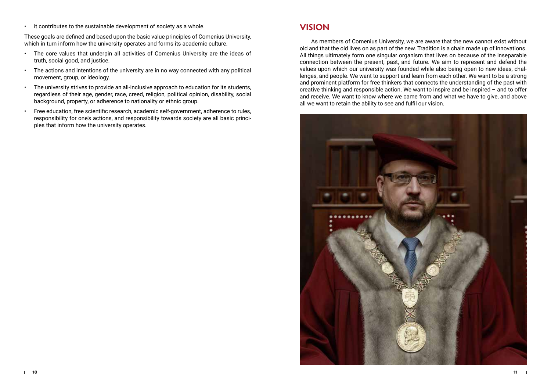• it contributes to the sustainable development of society as a whole.

These goals are defined and based upon the basic value principles of Comenius University, which in turn inform how the university operates and forms its academic culture.

- The core values that underpin all activities of Comenius University are the ideas of truth, social good, and justice.
- The actions and intentions of the university are in no way connected with any political movement, group, or ideology.
- The university strives to provide an all-inclusive approach to education for its students, regardless of their age, gender, race, creed, religion, political opinion, disability, social background, property, or adherence to nationality or ethnic group.
- Free education, free scientific research, academic self-government, adherence to rules, responsibility for one's actions, and responsibility towards society are all basic principles that inform how the university operates.

# **VISION**

As members of Comenius University, we are aware that the new cannot exist without old and that the old lives on as part of the new. Tradition is a chain made up of innovations. All things ultimately form one singular organism that lives on because of the inseparable connection between the present, past, and future. We aim to represent and defend the values upon which our university was founded while also being open to new ideas, challenges, and people. We want to support and learn from each other. We want to be a strong and prominent platform for free thinkers that connects the understanding of the past with creative thinking and responsible action. We want to inspire and be inspired – and to offer and receive. We want to know where we came from and what we have to give, and above all we want to retain the ability to see and fulfil our vision.

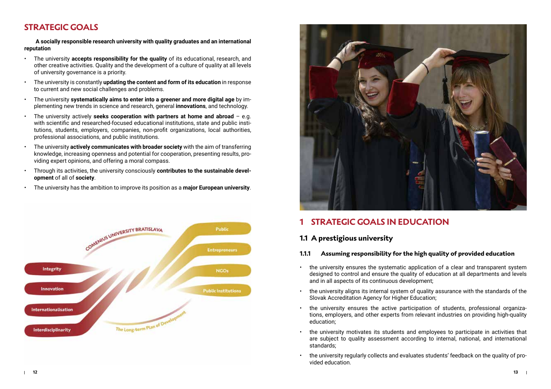# **STRATEGIC GOALS**

**A socially responsible research university with quality graduates and an international reputation** 

- The university **accepts responsibility for the quality** of its educational, research, and other creative activities. Quality and the development of a culture of quality at all levels of university governance is a priority.
- The university is constantly **updating the content and form of its education** in response to current and new social challenges and problems.
- The university **systematically aims to enter into a greener and more digital age** by implementing new trends in science and research, general **innovations**, and technology.
- The university actively **seeks cooperation with partners at home and abroad** e.g. with scientific and researched-focused educational institutions, state and public institutions, students, employers, companies, non-profit organizations, local authorities, professional associations, and public institutions.
- The university **actively communicates with broader society** with the aim of transferring knowledge, increasing openness and potential for cooperation, presenting results, providing expert opinions, and offering a moral compass.
- Through its activities, the university consciously **contributes to the sustainable development** of all of **society**.
- The university has the ambition to improve its position as a **major European university**.





# **1 STRATEGIC GOALS IN EDUCATION**

# **1.1 A prestigious university**

## **1.1.1 Assuming responsibility for the high quality of provided education**

- the university ensures the systematic application of a clear and transparent system designed to control and ensure the quality of education at all departments and levels and in all aspects of its continuous development;
- the university aligns its internal system of quality assurance with the standards of the Slovak Accreditation Agency for Higher Education;
- the university ensures the active participation of students, professional organizations, employers, and other experts from relevant industries on providing high-quality education;
- the university motivates its students and employees to participate in activities that are subject to quality assessment according to internal, national, and international standards;
- the university regularly collects and evaluates students' feedback on the quality of provided education.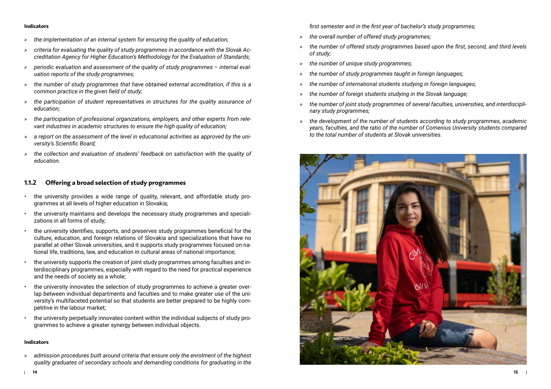- *» the implementation of an internal system for ensuring the quality of education;*
- *» criteria for evaluating the quality of study programmes in accordance with the Slovak Accreditation Agency for Higher Education's Methodology for the Evaluation of Standards;*
- *» periodic evaluation and assessment of the quality of study programmes internal evaluation reports of the study programmes;*
- *» the number of study programmes that have obtained external accreditation, if this is a common practice in the given field of study;*
- *» the participation of student representatives in structures for the quality assurance of education;*
- *» the participation of professional organizations, employers, and other experts from relevant industries in academic structures to ensure the high quality of education;*
- *» a report on the assessment of the level in educational activities as approved by the university's Scientific Board;*
- *» the collection and evaluation of students' feedback on satisfaction with the quality of education.*

### **1.1.2 Offering a broad selection of study programmes**

- the university provides a wide range of quality, relevant, and affordable study programmes at all levels of higher education in Slovakia;
- the university maintains and develops the necessary study programmes and specializations in all forms of study;
- the university identifies, supports, and preserves study programmes beneficial for the culture, education, and foreign relations of Slovakia and specializations that have no parallel at other Slovak universities, and it supports study programmes focused on national life, traditions, law, and education in cultural areas of national importance;
- the university supports the creation of joint study programmes among faculties and interdisciplinary programmes, especially with regard to the need for practical experience and the needs of society as a whole;
- the university innovates the selection of study programmes to achieve a greater overlap between individual departments and faculties and to make greater use of the university's multifaceted potential so that students are better prepared to be highly competitive in the labour market;
- the university perpetually innovates content within the individual subjects of study programmes to achieve a greater synergy between individual objects.

#### **Indicators**

*» admission procedures built around criteria that ensure only the enrolment of the highest quality graduates of secondary schools and demanding conditions for graduating in the*  *first semester and in the first year of bachelor's study programmes;*

- *» the overall number of offered study programmes;*
- *» the number of offered study programmes based upon the first, second, and third levels of study;*
- *» the number of unique study programmes;*
- *» the number of study programmes taught in foreign languages;*
- *» the number of international students studying in foreign languages;*
- *» the number of foreign students studying in the Slovak language;*
- *» the number of joint study programmes of several faculties, universities, and interdisciplinary study programmes;*
- *» the development of the number of students according to study programmes, academic years, faculties, and the ratio of the number of Comenius University students compared to the total number of students at Slovak universities.*

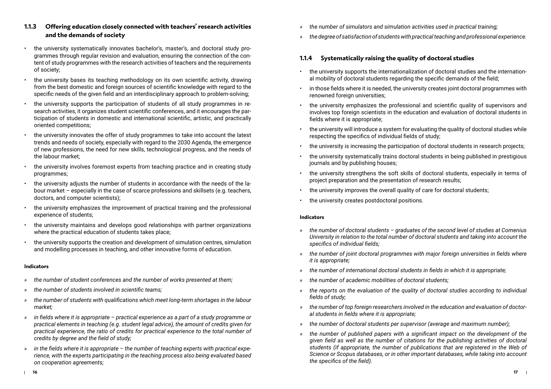- the university systematically innovates bachelor's, master's, and doctoral study programmes through regular revision and evaluation, ensuring the connection of the content of study programmes with the research activities of teachers and the requirements of society;
- the university bases its teaching methodology on its own scientific activity, drawing from the best domestic and foreign sources of scientific knowledge with regard to the specific needs of the given field and an interdisciplinary approach to problem-solving;
- the university supports the participation of students of all study programmes in research activities, it organizes student scientific conferences, and it encourages the participation of students in domestic and international scientific, artistic, and practically oriented competitions;
- the university innovates the offer of study programmes to take into account the latest trends and needs of society, especially with regard to the 2030 Agenda, the emergence of new professions, the need for new skills, technological progress, and the needs of the labour market;
- the university involves foremost experts from teaching practice and in creating study programmes;
- the university adjusts the number of students in accordance with the needs of the labour market – especially in the case of scarce professions and skillsets (e.g. teachers, doctors, and computer scientists);
- the university emphasizes the improvement of practical training and the professional experience of students;
- the university maintains and develops good relationships with partner organizations where the practical education of students takes place;
- the university supports the creation and development of simulation centres, simulation and modelling processes in teaching, and other innovative forms of education.

- *» the number of student conferences and the number of works presented at them;*
- *» the number of students involved in scientific teams;*
- *» the number of students with qualifications which meet long-term shortages in the labour market;*
- *» in fields where it is appropriate practical experience as a part of a study programme or practical elements in teaching (e.g. student legal advice), the amount of credits given for practical experience, the ratio of credits for practical experience to the total number of credits by degree and the field of study;*
- *» in the fields where it is appropriate the number of teaching experts with practical experience, with the experts participating in the teaching process also being evaluated based on cooperation agreements;*
- *» the number of simulators and simulation activities used in practical training;*
- *» the degree of satisfaction of students with practical teaching and professional experience.*

# **1.1.4 Systematically raising the quality of doctoral studies**

- the university supports the internationalization of doctoral studies and the international mobility of doctoral students regarding the specific demands of the field;
- in those fields where it is needed, the university creates joint doctoral programmes with renowned foreign universities:
- the university emphasizes the professional and scientific quality of supervisors and involves top foreign scientists in the education and evaluation of doctoral students in fields where it is appropriate;
- the university will introduce a system for evaluating the quality of doctoral studies while respecting the specifics of individual fields of study;
- the university is increasing the participation of doctoral students in research projects;
- the university systematically trains doctoral students in being published in prestigious journals and by publishing houses;
- the university strengthens the soft skills of doctoral students, especially in terms of project preparation and the presentation of research results;
- the university improves the overall quality of care for doctoral students;
- the university creates postdoctoral positions.

- *» the number of doctoral students graduates of the second level of studies at Comenius University in relation to the total number of doctoral students and taking into account the specifics of individual fields;*
- *» the number of joint doctoral programmes with major foreign universities in fields where it is appropriate;*
- *» the number of international doctoral students in fields in which it is appropriate;*
- *» the number of academic mobilities of doctoral students;*
- *» the reports on the evaluation of the quality of doctoral studies according to individual fields of study;*
- *» the number of top foreign researchers involved in the education and evaluation of doctoral students in fields where it is appropriate;*
- *» the number of doctoral students per supervisor (average and maximum number);*
- *» the number of published papers with a significant impact on the development of the given field as well as the number of citations for the publishing activities of doctoral students (if appropriate, the number of publications that are registered in the Web of Science or Scopus databases, or in other important databases, while taking into account the specifics of the field).*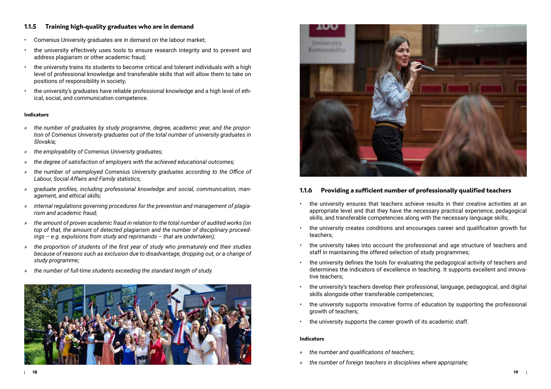## **1.1.5 Training high-quality graduates who are in demand**

- Comenius University graduates are in demand on the labour market;
- the university effectively uses tools to ensure research integrity and to prevent and address plagiarism or other academic fraud;
- the university trains its students to become critical and tolerant individuals with a high level of professional knowledge and transferable skills that will allow them to take on positions of responsibility in society;
- the university's graduates have reliable professional knowledge and a high level of ethical, social, and communication competence.

#### **Indicators**

- *» the number of graduates by study programme, degree, academic year, and the proportion of Comenius University graduates out of the total number of university graduates in Slovakia;*
- *» the employability of Comenius University graduates;*
- *» the degree of satisfaction of employers with the achieved educational outcomes;*
- *» the number of unemployed Comenius University graduates according to the Office of Labour, Social Affairs and Family statistics;*
- *» graduate profiles, including professional knowledge and social, communication, management, and ethical skills;*
- *» internal regulations governing procedures for the prevention and management of plagiarism and academic fraud;*
- *» the amount of proven academic fraud in relation to the total number of audited works (on top of that, the amount of detected plagiarism and the number of disciplinary proceedings – e.g. expulsions from study and reprimands – that are undertaken);*
- *» the proportion of students of the first year of study who prematurely end their studies because of reasons such as exclusion due to disadvantage, dropping out, or a change of study programme;*
- *» the number of full-time students exceeding the standard length of study.*





## **1.1.6 Providing a sufficient number of professionally qualified teachers**

- the university ensures that teachers achieve results in their creative activities at an appropriate level and that they have the necessary practical experience, pedagogical skills, and transferable competencies along with the necessary language skills;
- the university creates conditions and encourages career and qualification growth for teachers;
- the university takes into account the professional and age structure of teachers and staff in maintaining the offered selection of study programmes;
- the university defines the tools for evaluating the pedagogical activity of teachers and determines the indicators of excellence in teaching. It supports excellent and innovative teachers;
- the university's teachers develop their professional, language, pedagogical, and digital skills alongside other transferable competencies;
- the university supports innovative forms of education by supporting the professional growth of teachers;
- the university supports the career growth of its academic staff.

- *» the number and qualifications of teachers;*
- *» the number of foreign teachers in disciplines where appropriate;*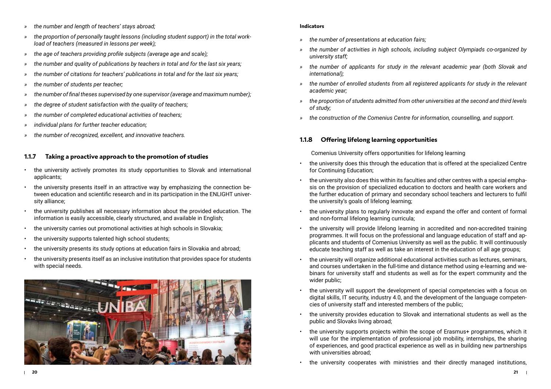- *» the number and length of teachers' stays abroad;*
- *» the proportion of personally taught lessons (including student support) in the total workload of teachers (measured in lessons per week);*
- *» the age of teachers providing profile subjects (average age and scale);*
- *» the number and quality of publications by teachers in total and for the last six years;*
- *» the number of citations for teachers' publications in total and for the last six years;*
- *» the number of students per teacher;*
- *» the number of final theses supervised by one supervisor (average and maximum number);*
- *» the degree of student satisfaction with the quality of teachers;*
- *» the number of completed educational activities of teachers;*
- *» individual plans for further teacher education;*
- *» the number of recognized, excellent, and innovative teachers.*

## **1.1.7 Taking a proactive approach to the promotion of studies**

- the university actively promotes its study opportunities to Slovak and international applicants;
- the university presents itself in an attractive way by emphasizing the connection between education and scientific research and in its participation in the ENLIGHT university alliance;
- the university publishes all necessary information about the provided education. The information is easily accessible, clearly structured, and available in English;
- the university carries out promotional activities at high schools in Slovakia;
- the university supports talented high school students;
- the university presents its study options at education fairs in Slovakia and abroad;
- the university presents itself as an inclusive institution that provides space for students with special needs.



### **Indicators**

- *» the number of presentations at education fairs;*
- *» the number of activities in high schools, including subject Olympiads co-organized by university staff;*
- *» the number of applicants for study in the relevant academic year (both Slovak and international);*
- *» the number of enrolled students from all registered applicants for study in the relevant academic year;*
- *» the proportion of students admitted from other universities at the second and third levels of study;*
- *» the construction of the Comenius Centre for information, counselling, and support.*

## **1.1.8 Offering lifelong learning opportunities**

Comenius University offers opportunities for lifelong learning

- the university does this through the education that is offered at the specialized Centre for Continuing Education;
- the university also does this within its faculties and other centres with a special emphasis on the provision of specialized education to doctors and health care workers and the further education of primary and secondary school teachers and lecturers to fulfil the university's goals of lifelong learning;
- the university plans to regularly innovate and expand the offer and content of formal and non-formal lifelong learning curricula;
- the university will provide lifelong learning in accredited and non-accredited training programmes. It will focus on the professional and language education of staff and applicants and students of Comenius University as well as the public. It will continuously educate teaching staff as well as take an interest in the education of all age groups;
- the university will organize additional educational activities such as lectures, seminars, and courses undertaken in the full-time and distance method using e-learning and webinars for university staff and students as well as for the expert community and the wider public;
- the university will support the development of special competencies with a focus on digital skills, IT security, industry 4.0, and the development of the language competencies of university staff and interested members of the public;
- the university provides education to Slovak and international students as well as the public and Slovaks living abroad;
- the university supports projects within the scope of Erasmus+ programmes, which it will use for the implementation of professional job mobility, internships, the sharing of experiences, and good practical experience as well as in building new partnerships with universities abroad;
- the university cooperates with ministries and their directly managed institutions,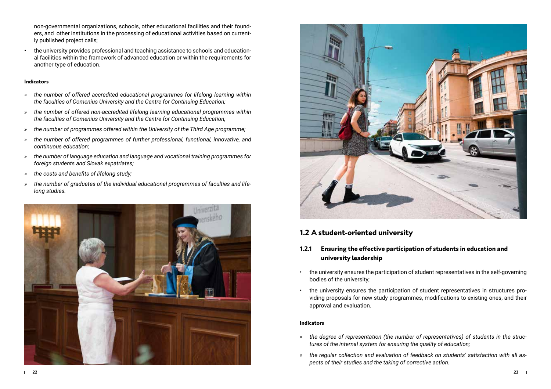non-governmental organizations, schools, other educational facilities and their founders, and other institutions in the processing of educational activities based on currently published project calls;

• the university provides professional and teaching assistance to schools and educational facilities within the framework of advanced education or within the requirements for another type of education.

### **Indicators**

- *» the number of offered accredited educational programmes for lifelong learning within the faculties of Comenius University and the Centre for Continuing Education;*
- *» the number of offered non-accredited lifelong learning educational programmes within the faculties of Comenius University and the Centre for Continuing Education;*
- *» the number of programmes offered within the University of the Third Age programme;*
- *» the number of offered programmes of further professional, functional, innovative, and continuous education;*
- *» the number of language education and language and vocational training programmes for foreign students and Slovak expatriates;*
- *» the costs and benefits of lifelong study;*
- *» the number of graduates of the individual educational programmes of faculties and lifelong studies.*





# **1.2 A student-oriented university**

## **1.2.1 Ensuring the effective participation of students in education and university leadership**

- the university ensures the participation of student representatives in the self-governing bodies of the university;
- the university ensures the participation of student representatives in structures providing proposals for new study programmes, modifications to existing ones, and their approval and evaluation.

- *» the degree of representation (the number of representatives) of students in the structures of the internal system for ensuring the quality of education;*
- *» the regular collection and evaluation of feedback on students' satisfaction with all aspects of their studies and the taking of corrective action.*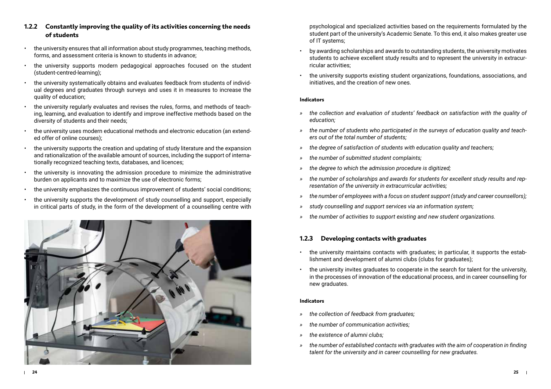- **1.2.2 Constantly improving the quality of its activities concerning the needs of students**
- the university ensures that all information about study programmes, teaching methods, forms, and assessment criteria is known to students in advance;
- the university supports modern pedagogical approaches focused on the student (student-centred-learning);
- the university systematically obtains and evaluates feedback from students of individual degrees and graduates through surveys and uses it in measures to increase the quality of education;
- the university regularly evaluates and revises the rules, forms, and methods of teaching, learning, and evaluation to identify and improve ineffective methods based on the diversity of students and their needs;
- the university uses modern educational methods and electronic education (an extended offer of online courses);
- the university supports the creation and updating of study literature and the expansion and rationalization of the available amount of sources, including the support of internationally recognized teaching texts, databases, and licences;
- the university is innovating the admission procedure to minimize the administrative burden on applicants and to maximize the use of electronic forms;
- the university emphasizes the continuous improvement of students' social conditions;
- the university supports the development of study counselling and support, especially in critical parts of study, in the form of the development of a counselling centre with



psychological and specialized activities based on the requirements formulated by the student part of the university's Academic Senate. To this end, it also makes greater use of IT systems;

- by awarding scholarships and awards to outstanding students, the university motivates students to achieve excellent study results and to represent the university in extracurricular activities;
- the university supports existing student organizations, foundations, associations, and initiatives, and the creation of new ones.

#### **Indicators**

- *» the collection and evaluation of students' feedback on satisfaction with the quality of education;*
- *» the number of students who participated in the surveys of education quality and teachers out of the total number of students;*
- *» the degree of satisfaction of students with education quality and teachers;*
- *» the number of submitted student complaints;*
- *» the degree to which the admission procedure is digitized;*
- *» the number of scholarships and awards for students for excellent study results and representation of the university in extracurricular activities;*
- *» the number of employees with a focus on student support (study and career counsellors);*
- *» study counselling and support services via an information system;*
- *» the number of activities to support existing and new student organizations.*

## **1.2.3 Developing contacts with graduates**

- the university maintains contacts with graduates; in particular, it supports the establishment and development of alumni clubs (clubs for graduates);
- the university invites graduates to cooperate in the search for talent for the university, in the processes of innovation of the educational process, and in career counselling for new graduates.

- *» the collection of feedback from graduates;*
- *» the number of communication activities;*
- *» the existence of alumni clubs;*
- *» the number of established contacts with graduates with the aim of cooperation in finding talent for the university and in career counselling for new graduates.*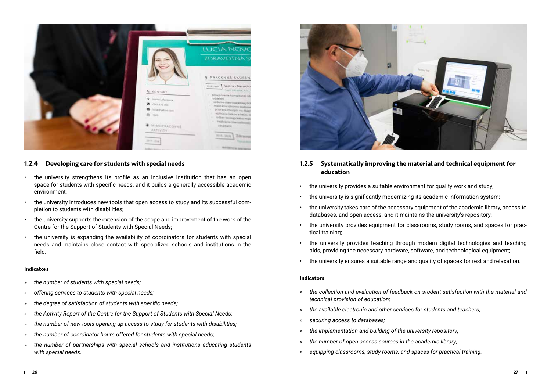

## **1.2.4 Developing care for students with special needs**

- the university strengthens its profile as an inclusive institution that has an open space for students with specific needs, and it builds a generally accessible academic environment;
- the university introduces new tools that open access to study and its successful completion to students with disabilities;
- the university supports the extension of the scope and improvement of the work of the Centre for the Support of Students with Special Needs;
- the university is expanding the availability of coordinators for students with special needs and maintains close contact with specialized schools and institutions in the field.

#### **Indicators**

- *» the number of students with special needs;*
- *» offering services to students with special needs;*
- *» the degree of satisfaction of students with specific needs;*
- *» the Activity Report of the Centre for the Support of Students with Special Needs;*
- *» the number of new tools opening up access to study for students with disabilities;*
- *» the number of coordinator hours offered for students with special needs;*
- *» the number of partnerships with special schools and institutions educating students with special needs.*



## **1.2.5 Systematically improving the material and technical equipment for education**

- the university provides a suitable environment for quality work and study;
- the university is significantly modernizing its academic information system;
- the university takes care of the necessary equipment of the academic library, access to databases, and open access, and it maintains the university's repository;
- the university provides equipment for classrooms, study rooms, and spaces for practical training;
- the university provides teaching through modern digital technologies and teaching aids, providing the necessary hardware, software, and technological equipment;
- the university ensures a suitable range and quality of spaces for rest and relaxation.

- *» the collection and evaluation of feedback on student satisfaction with the material and technical provision of education;*
- *» the available electronic and other services for students and teachers;*
- *» securing access to databases;*
- *» the implementation and building of the university repository;*
- *» the number of open access sources in the academic library;*
- *» equipping classrooms, study rooms, and spaces for practical training.*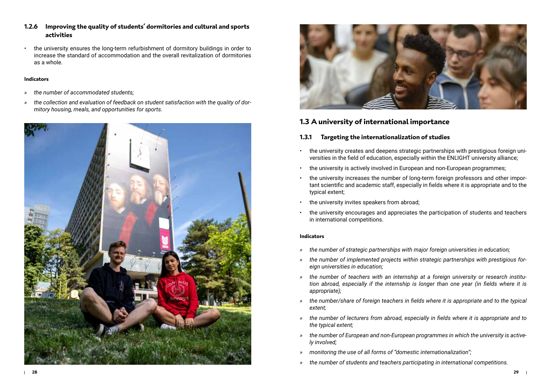- **1.2.6 Improving the quality of students' dormitories and cultural and sports activities**
- the university ensures the long-term refurbishment of dormitory buildings in order to increase the standard of accommodation and the overall revitalization of dormitories as a whole.

- *» the number of accommodated students;*
- *» the collection and evaluation of feedback on student satisfaction with the quality of dormitory housing, meals, and opportunities for sports.*





## **1.3 A university of international importance**

## **1.3.1 Targeting the internationalization of studies**

- the university creates and deepens strategic partnerships with prestigious foreign universities in the field of education, especially within the ENLIGHT university alliance;
- the university is actively involved in European and non-European programmes;
- the university increases the number of long-term foreign professors and other important scientific and academic staff, especially in fields where it is appropriate and to the typical extent;
- the university invites speakers from abroad;
- the university encourages and appreciates the participation of students and teachers in international competitions.

- *» the number of strategic partnerships with major foreign universities in education;*
- *» the number of implemented projects within strategic partnerships with prestigious foreign universities in education;*
- *» the number of teachers with an internship at a foreign university or research institution abroad, especially if the internship is longer than one year (in fields where it is appropriate);*
- *» the number/share of foreign teachers in fields where it is appropriate and to the typical extent;*
- *» the number of lecturers from abroad, especially in fields where it is appropriate and to the typical extent;*
- *» the number of European and non-European programmes in which the university is actively involved;*
- *» monitoring the use of all forms of "domestic internationalization";*
- *» the number of students and teachers participating in international competitions.*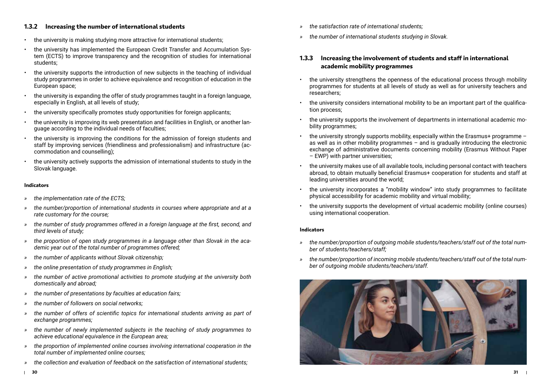## **1.3.2 Increasing the number of international students**

- the university is making studying more attractive for international students;
- the university has implemented the European Credit Transfer and Accumulation System (ECTS) to improve transparency and the recognition of studies for international students;
- the university supports the introduction of new subjects in the teaching of individual study programmes in order to achieve equivalence and recognition of education in the European space;
- the university is expanding the offer of study programmes taught in a foreign language, especially in English, at all levels of study;
- the university specifically promotes study opportunities for foreign applicants;
- the university is improving its web presentation and facilities in English, or another language according to the individual needs of faculties;
- the university is improving the conditions for the admission of foreign students and staff by improving services (friendliness and professionalism) and infrastructure (accommodation and counselling);
- the university actively supports the admission of international students to study in the Slovak language.

#### **Indicators**

- *» the implementation rate of the ECTS;*
- *» the number/proportion of international students in courses where appropriate and at a rate customary for the course;*
- *» the number of study programmes offered in a foreign language at the first, second, and third levels of study;*
- *» the proportion of open study programmes in a language other than Slovak in the academic year out of the total number of programmes offered;*
- *» the number of applicants without Slovak citizenship;*
- *» the online presentation of study programmes in English;*
- *» the number of active promotional activities to promote studying at the university both domestically and abroad;*
- *» the number of presentations by faculties at education fairs;*
- *» the number of followers on social networks;*
- *» the number of offers of scientific topics for international students arriving as part of exchange programmes;*
- *» the number of newly implemented subjects in the teaching of study programmes to achieve educational equivalence in the European area;*
- *» the proportion of implemented online courses involving international cooperation in the total number of implemented online courses;*
- *» the collection and evaluation of feedback on the satisfaction of international students;*
- *» the satisfaction rate of international students;*
- *» the number of international students studying in Slovak.*

## **1.3.3 Increasing the involvement of students and staff in international academic mobility programmes**

- the university strengthens the openness of the educational process through mobility programmes for students at all levels of study as well as for university teachers and researchers;
- the university considers international mobility to be an important part of the qualification process;
- the university supports the involvement of departments in international academic mobility programmes;
- the university strongly supports mobility, especially within the Erasmus+ programme  $$ as well as in other mobility programmes – and is gradually introducing the electronic exchange of administrative documents concerning mobility (Erasmus Without Paper – EWP) with partner universities;
- the university makes use of all available tools, including personal contact with teachers abroad, to obtain mutually beneficial Erasmus+ cooperation for students and staff at leading universities around the world;
- the university incorporates a "mobility window" into study programmes to facilitate physical accessibility for academic mobility and virtual mobility;
- the university supports the development of virtual academic mobility (online courses) using international cooperation.

- *» the number/proportion of outgoing mobile students/teachers/staff out of the total number of students/teachers/staff;*
- *» the number/proportion of incoming mobile students/teachers/staff out of the total number of outgoing mobile students/teachers/staff.*

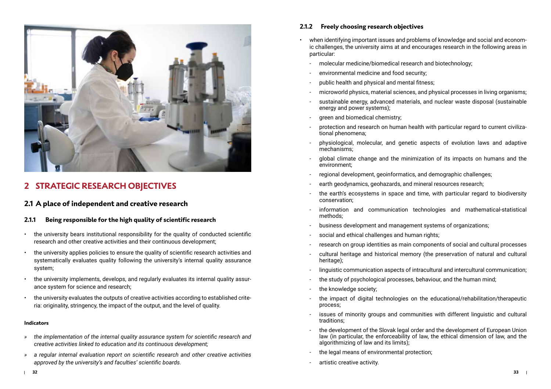

# **2 STRATEGIC RESEARCH OBJECTIVES**

# **2.1 A place of independent and creative research**

## **2.1.1 Being responsible for the high quality of scientific research**

- the university bears institutional responsibility for the quality of conducted scientific research and other creative activities and their continuous development;
- the university applies policies to ensure the quality of scientific research activities and systematically evaluates quality following the university's internal quality assurance system;
- the university implements, develops, and regularly evaluates its internal quality assurance system for science and research;
- the university evaluates the outputs of creative activities according to established criteria: originality, stringency, the impact of the output, and the level of quality.

#### **Indicators**

- *» the implementation of the internal quality assurance system for scientific research and creative activities linked to education and its continuous development;*
- *» a regular internal evaluation report on scientific research and other creative activities approved by the university's and faculties' scientific boards.*

## **2.1.2 Freely choosing research objectives**

- when identifying important issues and problems of knowledge and social and economic challenges, the university aims at and encourages research in the following areas in particular:
	- molecular medicine/biomedical research and biotechnology;
	- environmental medicine and food security;
	- public health and physical and mental fitness;
	- microworld physics, material sciences, and physical processes in living organisms;
	- sustainable energy, advanced materials, and nuclear waste disposal (sustainable energy and power systems);
	- green and biomedical chemistry;
	- protection and research on human health with particular regard to current civilizational phenomena;
	- physiological, molecular, and genetic aspects of evolution laws and adaptive mechanisms;
	- global climate change and the minimization of its impacts on humans and the environment;
	- regional development, geoinformatics, and demographic challenges;
	- earth geodynamics, geohazards, and mineral resources research;
	- the earth's ecosystems in space and time, with particular regard to biodiversity conservation;
	- information and communication technologies and mathematical-statistical methods;
	- business development and management systems of organizations;
	- social and ethical challenges and human rights;
	- research on group identities as main components of social and cultural processes
	- cultural heritage and historical memory (the preservation of natural and cultural heritage);
	- linguistic communication aspects of intracultural and intercultural communication;
	- the study of psychological processes, behaviour, and the human mind;
	- the knowledge society;
	- the impact of digital technologies on the educational/rehabilitation/therapeutic process;
	- issues of minority groups and communities with different linguistic and cultural traditions;
	- the development of the Slovak legal order and the development of European Union law (in particular, the enforceability of law, the ethical dimension of law, and the algorithmizing of law and its limits);
	- the legal means of environmental protection;
	- artistic creative activity.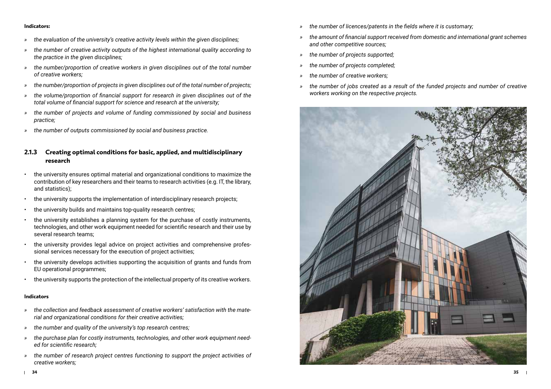- *» the evaluation of the university's creative activity levels within the given disciplines;*
- *» the number of creative activity outputs of the highest international quality according to the practice in the given disciplines;*
- *» the number/proportion of creative workers in given disciplines out of the total number of creative workers;*
- *» the number/proportion of projects in given disciplines out of the total number of projects;*
- *» the volume/proportion of financial support for research in given disciplines out of the total volume of financial support for science and research at the university;*
- *» the number of projects and volume of funding commissioned by social and business practice;*
- *» the number of outputs commissioned by social and business practice.*

## **2.1.3 Creating optimal conditions for basic, applied, and multidisciplinary research**

- the university ensures optimal material and organizational conditions to maximize the contribution of key researchers and their teams to research activities (e.g. IT, the library, and statistics);
- the university supports the implementation of interdisciplinary research projects;
- the university builds and maintains top-quality research centres;
- the university establishes a planning system for the purchase of costly instruments, technologies, and other work equipment needed for scientific research and their use by several research teams;
- the university provides legal advice on project activities and comprehensive professional services necessary for the execution of project activities;
- the university develops activities supporting the acquisition of grants and funds from EU operational programmes;
- the university supports the protection of the intellectual property of its creative workers.

- *» the collection and feedback assessment of creative workers' satisfaction with the material and organizational conditions for their creative activities;*
- *» the number and quality of the university's top research centres;*
- *» the purchase plan for costly instruments, technologies, and other work equipment needed for scientific research;*
- *» the number of research project centres functioning to support the project activities of creative workers;*
- *» the number of licences/patents in the fields where it is customary;*
- *» the amount of financial support received from domestic and international grant schemes and other competitive sources;*
- *» the number of projects supported;*
- *» the number of projects completed;*
- *» the number of creative workers;*
- *» the number of jobs created as a result of the funded projects and number of creative workers working on the respective projects.*

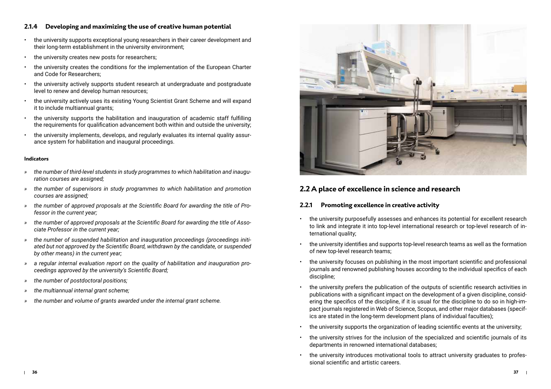## **2.1.4 Developing and maximizing the use of creative human potential**

- the university supports exceptional young researchers in their career development and their long-term establishment in the university environment;
- the university creates new posts for researchers;
- the university creates the conditions for the implementation of the European Charter and Code for Researchers;
- the university actively supports student research at undergraduate and postgraduate level to renew and develop human resources;
- the university actively uses its existing Young Scientist Grant Scheme and will expand it to include multiannual grants;
- the university supports the habilitation and inauguration of academic staff fulfilling the requirements for qualification advancement both within and outside the university;
- the university implements, develops, and regularly evaluates its internal quality assurance system for habilitation and inaugural proceedings.

#### **Indicators**

- *» the number of third-level students in study programmes to which habilitation and inauguration courses are assigned;*
- *» the number of supervisors in study programmes to which habilitation and promotion courses are assigned;*
- *» the number of approved proposals at the Scientific Board for awarding the title of Professor in the current year;*
- *» the number of approved proposals at the Scientific Board for awarding the title of Associate Professor in the current year;*
- *» the number of suspended habilitation and inauguration proceedings (proceedings initiated but not approved by the Scientific Board, withdrawn by the candidate, or suspended by other means) in the current year;*
- *» a regular internal evaluation report on the quality of habilitation and inauguration proceedings approved by the university's Scientific Board;*
- *» the number of postdoctoral positions;*
- *» the multiannual internal grant scheme;*
- *» the number and volume of grants awarded under the internal grant scheme.*



# **2.2 A place of excellence in science and research**

## **2.2.1 Promoting excellence in creative activity**

- the university purposefully assesses and enhances its potential for excellent research to link and integrate it into top-level international research or top-level research of international quality;
- the university identifies and supports top-level research teams as well as the formation of new top-level research teams;
- the university focuses on publishing in the most important scientific and professional journals and renowned publishing houses according to the individual specifics of each discipline;
- the university prefers the publication of the outputs of scientific research activities in publications with a significant impact on the development of a given discipline, considering the specifics of the discipline, if it is usual for the discipline to do so in high-impact journals registered in Web of Science, Scopus, and other major databases (specifics are stated in the long-term development plans of individual faculties);
- the university supports the organization of leading scientific events at the university;
- the university strives for the inclusion of the specialized and scientific journals of its departments in renowned international databases;
- the university introduces motivational tools to attract university graduates to professional scientific and artistic careers.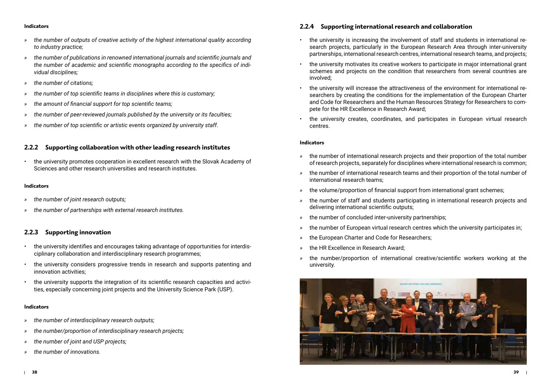- *» the number of outputs of creative activity of the highest international quality according to industry practice;*
- *» the number of publications in renowned international journals and scientific journals and the number of academic and scientific monographs according to the specifics of individual disciplines;*
- *» the number of citations;*
- *» the number of top scientific teams in disciplines where this is customary;*
- *» the amount of financial support for top scientific teams;*
- *» the number of peer-reviewed journals published by the university or its faculties;*
- *» the number of top scientific or artistic events organized by university staff.*

## **2.2.2 Supporting collaboration with other leading research institutes**

• the university promotes cooperation in excellent research with the Slovak Academy of Sciences and other research universities and research institutes.

#### **Indicators**

- *» the number of joint research outputs;*
- *» the number of partnerships with external research institutes.*

## **2.2.3 Supporting innovation**

- the university identifies and encourages taking advantage of opportunities for interdisciplinary collaboration and interdisciplinary research programmes;
- the university considers progressive trends in research and supports patenting and innovation activities;
- the university supports the integration of its scientific research capacities and activities, especially concerning joint projects and the University Science Park (USP).

#### **Indicators**

- *» the number of interdisciplinary research outputs;*
- *» the number/proportion of interdisciplinary research projects;*
- *» the number of joint and USP projects;*
- *» the number of innovations.*

## **2.2.4 Supporting international research and collaboration**

- the university is increasing the involvement of staff and students in international research projects, particularly in the European Research Area through inter-university partnerships, international research centres, international research teams, and projects;
- the university motivates its creative workers to participate in major international grant schemes and projects on the condition that researchers from several countries are involved;
- the university will increase the attractiveness of the environment for international researchers by creating the conditions for the implementation of the European Charter and Code for Researchers and the Human Resources Strategy for Researchers to compete for the HR Excellence in Research Award;
- the university creates, coordinates, and participates in European virtual research centres.

- *»* the number of international research projects and their proportion of the total number of research projects, separately for disciplines where international research is common;
- *»* the number of international research teams and their proportion of the total number of international research teams;
- *»* the volume/proportion of financial support from international grant schemes;
- *»* the number of staff and students participating in international research projects and delivering international scientific outputs;
- *»* the number of concluded inter-university partnerships;
- *»* the number of European virtual research centres which the university participates in;
- the European Charter and Code for Researchers;
- *»* the HR Excellence in Research Award;
- *»* the number/proportion of international creative/scientific workers working at the university.

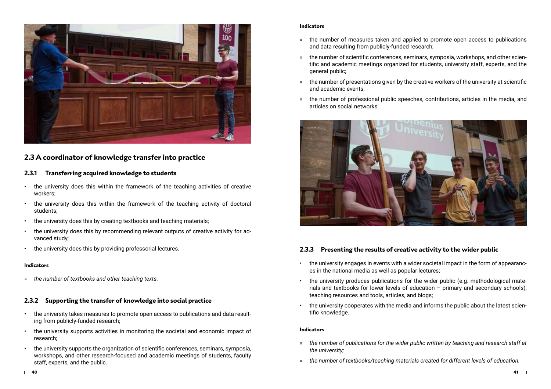

# **2.3 A coordinator of knowledge transfer into practice**

## **2.3.1 Transferring acquired knowledge to students**

- the university does this within the framework of the teaching activities of creative workers;
- the university does this within the framework of the teaching activity of doctoral students;
- the university does this by creating textbooks and teaching materials;
- the university does this by recommending relevant outputs of creative activity for advanced study;
- the university does this by providing professorial lectures.

#### **Indicators**

*» the number of textbooks and other teaching texts.*

## **2.3.2 Supporting the transfer of knowledge into social practice**

- the university takes measures to promote open access to publications and data resulting from publicly-funded research;
- the university supports activities in monitoring the societal and economic impact of research;
- the university supports the organization of scientific conferences, seminars, symposia, workshops, and other research-focused and academic meetings of students, faculty staff, experts, and the public.

#### **Indicators**

- *»* the number of measures taken and applied to promote open access to publications and data resulting from publicly-funded research;
- *»* the number of scientific conferences, seminars, symposia, workshops, and other scientific and academic meetings organized for students, university staff, experts, and the general public;
- *»* the number of presentations given by the creative workers of the university at scientific and academic events;
- *»* the number of professional public speeches, contributions, articles in the media, and articles on social networks.



## **2.3.3 Presenting the results of creative activity to the wider public**

- the university engages in events with a wider societal impact in the form of appearances in the national media as well as popular lectures;
- the university produces publications for the wider public (e.g. methodological materials and textbooks for lower levels of education – primary and secondary schools), teaching resources and tools, articles, and blogs;
- the university cooperates with the media and informs the public about the latest scientific knowledge.

- *» the number of publications for the wider public written by teaching and research staff at the university;*
- *» the number of textbooks/teaching materials created for different levels of education.*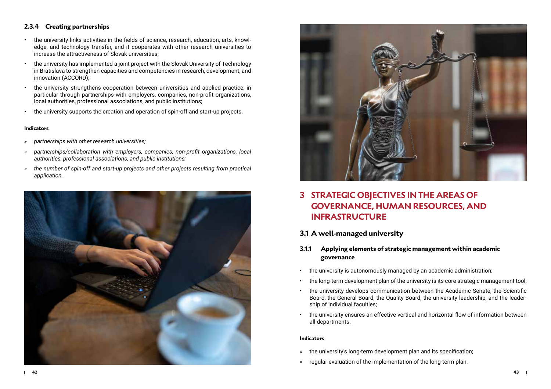## **2.3.4 Creating partnerships**

- the university links activities in the fields of science, research, education, arts, knowledge, and technology transfer, and it cooperates with other research universities to increase the attractiveness of Slovak universities;
- the university has implemented a joint project with the Slovak University of Technology in Bratislava to strengthen capacities and competencies in research, development, and innovation (ACCORD);
- the university strengthens cooperation between universities and applied practice, in particular through partnerships with employers, companies, non-profit organizations, local authorities, professional associations, and public institutions;
- the university supports the creation and operation of spin-off and start-up projects.

#### **Indicators**

- *» partnerships with other research universities;*
- *» partnerships/collaboration with employers, companies, non-profit organizations, local authorities, professional associations, and public institutions;*
- *» the number of spin-off and start-up projects and other projects resulting from practical application.*





# **3 STRATEGIC OBJECTIVES IN THE AREAS OF GOVERNANCE, HUMAN RESOURCES, AND INFRASTRUCTURE**

# **3.1 A well-managed university**

## **3.1.1 Applying elements of strategic management within academic governance**

- the university is autonomously managed by an academic administration;
- the long-term development plan of the university is its core strategic management tool;
- the university develops communication between the Academic Senate, the Scientific Board, the General Board, the Quality Board, the university leadership, and the leadership of individual faculties;
- the university ensures an effective vertical and horizontal flow of information between all departments.

- *»* the university's long-term development plan and its specification;
- *»* regular evaluation of the implementation of the long-term plan.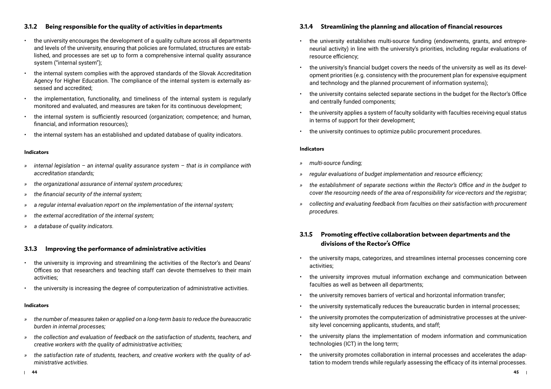## **3.1.2 Being responsible for the quality of activities in departments**

- the university encourages the development of a quality culture across all departments and levels of the university, ensuring that policies are formulated, structures are established, and processes are set up to form a comprehensive internal quality assurance system ("internal system");
- the internal system complies with the approved standards of the Slovak Accreditation Agency for Higher Education. The compliance of the internal system is externally assessed and accredited;
- the implementation, functionality, and timeliness of the internal system is regularly monitored and evaluated, and measures are taken for its continuous development;
- the internal system is sufficiently resourced (organization; competence; and human, financial, and information resources);
- the internal system has an established and updated database of quality indicators.

#### **Indicators**

- *» internal legislation an internal quality assurance system that is in compliance with accreditation standards;*
- *» the organizational assurance of internal system procedures;*
- *» the financial security of the internal system;*
- *» a regular internal evaluation report on the implementation of the internal system;*
- *» the external accreditation of the internal system;*
- *» a database of quality indicators.*

## **3.1.3 Improving the performance of administrative activities**

- the university is improving and streamlining the activities of the Rector's and Deans' Offices so that researchers and teaching staff can devote themselves to their main activities;
- the university is increasing the degree of computerization of administrative activities.

#### **Indicators**

- *» the number of measures taken or applied on a long-term basis to reduce the bureaucratic burden in internal processes;*
- *» the collection and evaluation of feedback on the satisfaction of students, teachers, and creative workers with the quality of administrative activities;*
- *» the satisfaction rate of students, teachers, and creative workers with the quality of administrative activities.*

## **3.1.4 Streamlining the planning and allocation of financial resources**

- the university establishes multi-source funding (endowments, grants, and entrepreneurial activity) in line with the university's priorities, including regular evaluations of resource efficiency;
- the university's financial budget covers the needs of the university as well as its development priorities (e.g. consistency with the procurement plan for expensive equipment and technology and the planned procurement of information systems);
- the university contains selected separate sections in the budget for the Rector's Office and centrally funded components;
- the university applies a system of faculty solidarity with faculties receiving equal status in terms of support for their development;
- the university continues to optimize public procurement procedures.

#### **Indicators**

- *» multi-source funding;*
- *» regular evaluations of budget implementation and resource efficiency;*
- *» the establishment of separate sections within the Rector's Office and in the budget to cover the resourcing needs of the area of responsibility for vice-rectors and the registrar;*
- *» collecting and evaluating feedback from faculties on their satisfaction with procurement procedures.*

## **3.1.5 Promoting effective collaboration between departments and the divisions of the Rector's Office**

- the university maps, categorizes, and streamlines internal processes concerning core activities;
- the university improves mutual information exchange and communication between faculties as well as between all departments;
- the university removes barriers of vertical and horizontal information transfer;
- the university systematically reduces the bureaucratic burden in internal processes;
- the university promotes the computerization of administrative processes at the university level concerning applicants, students, and staff;
- the university plans the implementation of modern information and communication technologies (ICT) in the long term;
- the university promotes collaboration in internal processes and accelerates the adaptation to modern trends while regularly assessing the efficacy of its internal processes.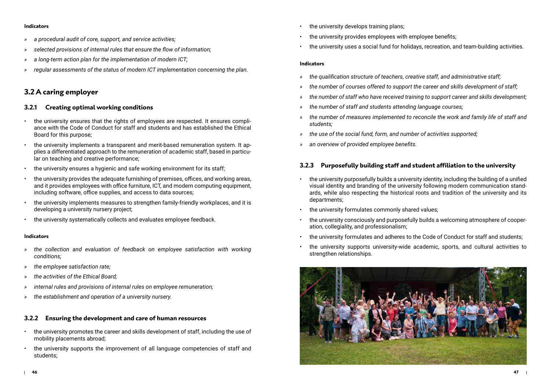- *» a procedural audit of core, support, and service activities;*
- *» selected provisions of internal rules that ensure the flow of information;*
- *» a long-term action plan for the implementation of modern ICT;*
- *» regular assessments of the status of modern ICT implementation concerning the plan.*

## **3.2 A caring employer**

## **3.2.1 Creating optimal working conditions**

- the university ensures that the rights of employees are respected. It ensures compliance with the Code of Conduct for staff and students and has established the Ethical Board for this purpose;
- the university implements a transparent and merit-based remuneration system. It applies a differentiated approach to the remuneration of academic staff, based in particular on teaching and creative performance;
- the university ensures a hygienic and safe working environment for its staff;
- the university provides the adequate furnishing of premises, offices, and working areas, and it provides employees with office furniture, ICT, and modern computing equipment, including software, office supplies, and access to data sources;
- the university implements measures to strengthen family-friendly workplaces, and it is developing a university nursery project;
- the university systematically collects and evaluates employee feedback.

#### **Indicators**

- *» the collection and evaluation of feedback on employee satisfaction with working conditions;*
- *» the employee satisfaction rate;*
- *» the activities of the Ethical Board;*
- *» internal rules and provisions of internal rules on employee remuneration;*
- *» the establishment and operation of a university nursery.*

## **3.2.2 Ensuring the development and care of human resources**

- the university promotes the career and skills development of staff, including the use of mobility placements abroad;
- the university supports the improvement of all language competencies of staff and students;
- the university develops training plans;
- the university provides employees with employee benefits:
- the university uses a social fund for holidays, recreation, and team-building activities.

#### **Indicators**

- *» the qualification structure of teachers, creative staff, and administrative staff;*
- *» the number of courses offered to support the career and skills development of staff;*
- *» the number of staff who have received training to support career and skills development;*
- *» the number of staff and students attending language courses;*
- *» the number of measures implemented to reconcile the work and family life of staff and students;*
- *» the use of the social fund, form, and number of activities supported;*
- *» an overview of provided employee benefits.*

## **3.2.3 Purposefully building staff and student affiliation to the university**

- the university purposefully builds a university identity, including the building of a unified visual identity and branding of the university following modern communication standards, while also respecting the historical roots and tradition of the university and its departments;
- the university formulates commonly shared values;
- the university consciously and purposefully builds a welcoming atmosphere of cooperation, collegiality, and professionalism;
- the university formulates and adheres to the Code of Conduct for staff and students;
- the university supports university-wide academic, sports, and cultural activities to strengthen relationships.

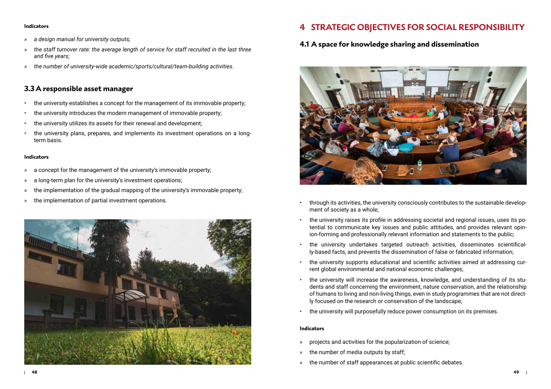- *» a design manual for university outputs;*
- *» the staff turnover rate: the average length of service for staff recruited in the last three and five years;*
- *» the number of university-wide academic/sports/cultural/team-building activities.*

# **3.3A responsible asset manager**

- the university establishes a concept for the management of its immovable property;
- the university introduces the modern management of immovable property;
- the university utilizes its assets for their renewal and development;
- the university plans, prepares, and implements its investment operations on a longterm basis.

#### **Indicators**

- *»* a concept for the management of the university's immovable property;
- *»* a long-term plan for the university's investment operations;
- *»* the implementation of the gradual mapping of the university's immovable property;
- *»* the implementation of partial investment operations.



# **4 STRATEGIC OBJECTIVES FOR SOCIAL RESPONSIBILITY**

# **4.1 A space for knowledge sharing and dissemination**



- through its activities, the university consciously contributes to the sustainable development of society as a whole;
- the university raises its profile in addressing societal and regional issues, uses its potential to communicate key issues and public attitudes, and provides relevant opinion-forming and professionally relevant information and statements to the public;
- the university undertakes targeted outreach activities, disseminates scientifically-based facts, and prevents the dissemination of false or fabricated information;
- the university supports educational and scientific activities aimed at addressing current global environmental and national economic challenges;
- the university will increase the awareness, knowledge, and understanding of its students and staff concerning the environment, nature conservation, and the relationship of humans to living and non-living things, even in study programmes that are not directly focused on the research or conservation of the landscape;
- the university will purposefully reduce power consumption on its premises.

- *»* projects and activities for the popularization of science;
- *»* the number of media outputs by staff;
- *»* the number of staff appearances at public scientific debates.